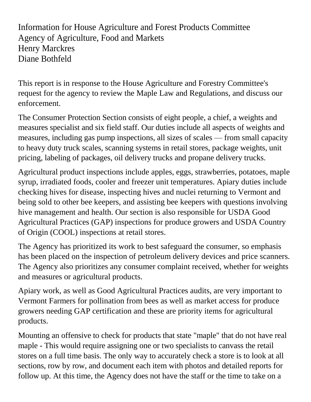Information for House Agriculture and Forest Products Committee Agency of Agriculture, Food and Markets Henry Marckres Diane Bothfeld

This report is in response to the House Agriculture and Forestry Committee's request for the agency to review the Maple Law and Regulations, and discuss our enforcement.

The Consumer Protection Section consists of eight people, a chief, a weights and measures specialist and six field staff. Our duties include all aspects of weights and measures, including gas pump inspections, all sizes of scales — from small capacity to heavy duty truck scales, scanning systems in retail stores, package weights, unit pricing, labeling of packages, oil delivery trucks and propane delivery trucks.

Agricultural product inspections include apples, eggs, strawberries, potatoes, maple syrup, irradiated foods, cooler and freezer unit temperatures. Apiary duties include checking hives for disease, inspecting hives and nuclei returning to Vermont and being sold to other bee keepers, and assisting bee keepers with questions involving hive management and health. Our section is also responsible for USDA Good Agricultural Practices (GAP) inspections for produce growers and USDA Country of Origin (COOL) inspections at retail stores.

The Agency has prioritized its work to best safeguard the consumer, so emphasis has been placed on the inspection of petroleum delivery devices and price scanners. The Agency also prioritizes any consumer complaint received, whether for weights and measures or agricultural products.

Apiary work, as well as Good Agricultural Practices audits, are very important to Vermont Farmers for pollination from bees as well as market access for produce growers needing GAP certification and these are priority items for agricultural products.

Mounting an offensive to check for products that state "maple" that do not have real maple - This would require assigning one or two specialists to canvass the retail stores on a full time basis. The only way to accurately check a store is to look at all sections, row by row, and document each item with photos and detailed reports for follow up. At this time, the Agency does not have the staff or the time to take on a